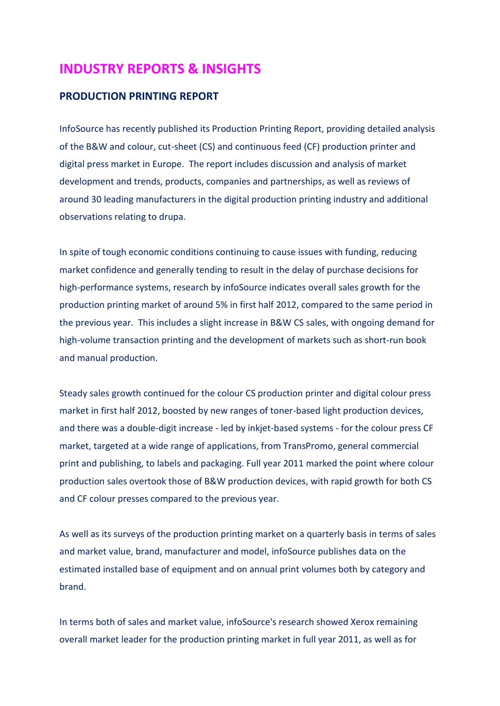## **INDUSTRY REPORTS & INSIGHTS**

## **PRODUCTION PRINTING REPORT**

InfoSource has recently published its Production Printing Report, providing detailed analysis of the B&W and colour, cut-sheet (CS) and continuous feed (CF) production printer and digital press market in Europe. The report includes discussion and analysis of market development and trends, products, companies and partnerships, as well as reviews of around 30 leading manufacturers in the digital production printing industry and additional observations relating to drupa.

In spite of tough economic conditions continuing to cause issues with funding, reducing market confidence and generally tending to result in the delay of purchase decisions for high-performance systems, research by infoSource indicates overall sales growth for the production printing market of around 5% in first half 2012, compared to the same period in the previous year. This includes a slight increase in B&W CS sales, with ongoing demand for high-volume transaction printing and the development of markets such as short-run book and manual production.

Steady sales growth continued for the colour CS production printer and digital colour press market in first half 2012, boosted by new ranges of toner-based light production devices, and there was a double-digit increase - led by inkjet-based systems - for the colour press CF market, targeted at a wide range of applications, from TransPromo, general commercial print and publishing, to labels and packaging. Full year 2011 marked the point where colour production sales overtook those of B&W production devices, with rapid growth for both CS and CF colour presses compared to the previous year.

As well as its surveys of the production printing market on a quarterly basis in terms of sales and market value, brand, manufacturer and model, infoSource publishes data on the estimated installed base of equipment and on annual print volumes both by category and brand.

In terms both of sales and market value, infoSource's research showed Xerox remaining overall market leader for the production printing market in full year 2011, as well as for